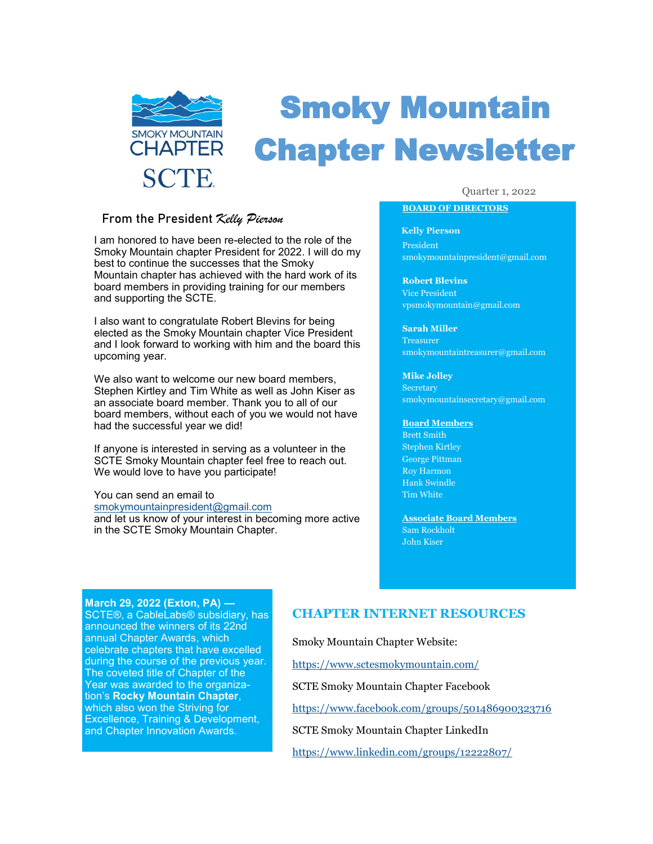

# Smoky Mountain Chapter Newsletter

### From the President *Kelly Pierson*

I am honored to have been re-elected to the role of the Smoky Mountain chapter President for 2022. I will do my best to continue the successes that the Smoky Mountain chapter has achieved with the hard work of its board members in providing training for our members and supporting the SCTE.

I also want to congratulate Robert Blevins for being elected as the Smoky Mountain chapter Vice President and I look forward to working with him and the board this upcoming year.

We also want to welcome our new board members, Stephen Kirtley and Tim White as well as John Kiser as an associate board member. Thank you to all of our board members, without each of you we would not have had the successful year we did!

If anyone is interested in serving as a volunteer in the SCTE Smoky Mountain chapter feel free to reach out. We would love to have you participate!

You can send an email to [smokymountainpresident@gmail.com](mailto:smokymoutainpresident@gmail.com) and let us know of your interest in becoming more active in the SCTE Smoky Mountain Chapter.

#### Quarter 1, 2022

### **BOARD OF DIRECTORS**

**Kelly Pierson** President smokymountainpresident@gmail.com

**Robert Blevins** Vice President vpsmokymountain@gmail.com

**Sarah Miller Treasurer** smokymountaintreasurer@gmail.com

**Mike Jolley Secretary** smokymountainsecretary@gmail.com

#### **Board Members**

Brett Smith Stephen Kirtley George Pittman Roy Harmon Hank Swindle Tim White

**Associate Board Members** Sam Rockholt John Kiser

#### **March 29, 2022 (Exton, PA) —**

SCTE®, a CableLabs® subsidiary, has announced the winners of its 22nd annual Chapter Awards, which celebrate chapters that have excelled during the course of the previous year. The coveted title of Chapter of the Year was awarded to the organization's **Rocky Mountain Chapter**, which also won the Striving for Excellence, Training & Development, and Chapter Innovation Awards.

## **CHAPTER INTERNET RESOURCES**

Smoky Mountain Chapter Website:

[https://www.sctesmokymountain.com/](http://www.sctesmokymountain.com)

SCTE Smoky Mountain Chapter Facebook

<https://www.facebook.com/groups/501486900323716>

SCTE Smoky Mountain Chapter LinkedIn

<https://www.linkedin.com/groups/12222807/>